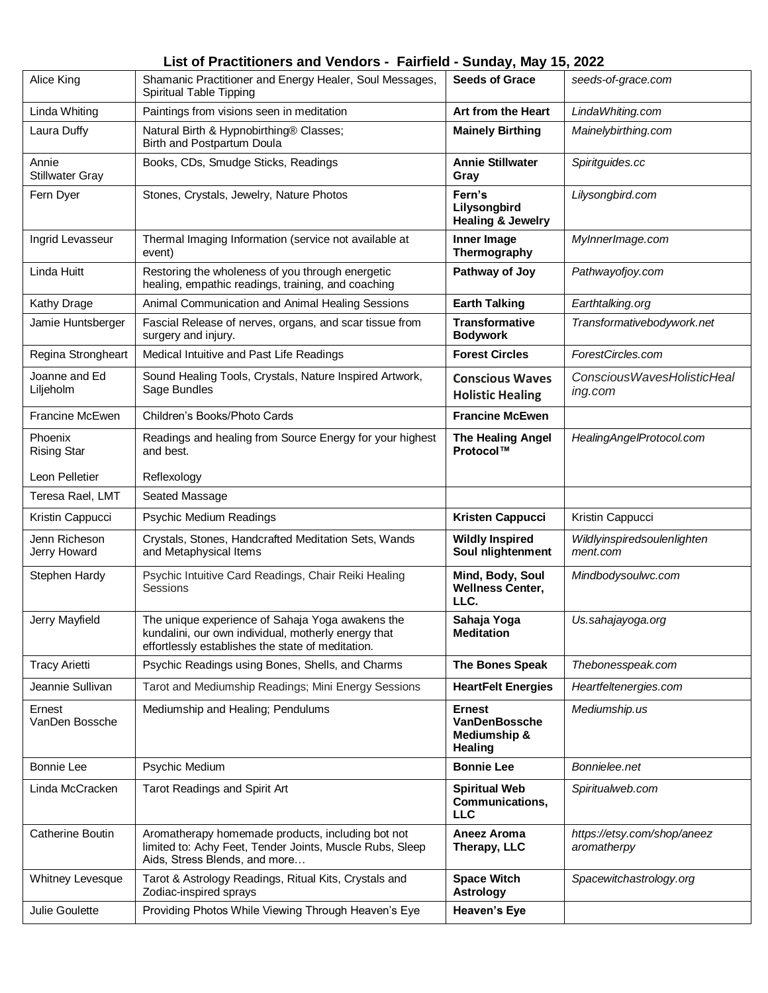## **List of Practitioners and Vendors - Fairfield - Sunday, May 15, 2022**

| Alice King                      | Shamanic Practitioner and Energy Healer, Soul Messages,<br>Spiritual Table Tipping                                                                           | <b>Seeds of Grace</b>                                     | seeds-of-grace.com                         |
|---------------------------------|--------------------------------------------------------------------------------------------------------------------------------------------------------------|-----------------------------------------------------------|--------------------------------------------|
| Linda Whiting                   | Paintings from visions seen in meditation                                                                                                                    | Art from the Heart                                        | LindaWhiting.com                           |
| Laura Duffy                     | Natural Birth & Hypnobirthing® Classes;<br>Birth and Postpartum Doula                                                                                        | <b>Mainely Birthing</b>                                   | Mainelybirthing.com                        |
| Annie<br><b>Stillwater Gray</b> | Books, CDs, Smudge Sticks, Readings                                                                                                                          | <b>Annie Stillwater</b><br>Gray                           | Spiritguides.cc                            |
| Fern Dyer                       | Stones, Crystals, Jewelry, Nature Photos                                                                                                                     | Fern's<br>Lilysongbird<br><b>Healing &amp; Jewelry</b>    | Lilysongbird.com                           |
| Ingrid Levasseur                | Thermal Imaging Information (service not available at<br>event)                                                                                              | Inner Image<br>Thermography                               | MyInnerImage.com                           |
| Linda Huitt                     | Restoring the wholeness of you through energetic<br>healing, empathic readings, training, and coaching                                                       | Pathway of Joy                                            | Pathwayofjoy.com                           |
| <b>Kathy Drage</b>              | Animal Communication and Animal Healing Sessions                                                                                                             | <b>Earth Talking</b>                                      | Earthtalking.org                           |
| Jamie Huntsberger               | Fascial Release of nerves, organs, and scar tissue from<br>surgery and injury.                                                                               | <b>Transformative</b><br><b>Bodywork</b>                  | Transformativebodywork.net                 |
| Regina Strongheart              | Medical Intuitive and Past Life Readings                                                                                                                     | <b>Forest Circles</b>                                     | ForestCircles.com                          |
| Joanne and Ed<br>Liljeholm      | Sound Healing Tools, Crystals, Nature Inspired Artwork,<br>Sage Bundles                                                                                      | <b>Conscious Waves</b><br><b>Holistic Healing</b>         | Conscious Waves Holistic Heal<br>ing.com   |
| Francine McEwen                 | Children's Books/Photo Cards                                                                                                                                 | <b>Francine McEwen</b>                                    |                                            |
| Phoenix<br><b>Rising Star</b>   | Readings and healing from Source Energy for your highest<br>and best.                                                                                        | <b>The Healing Angel</b><br>Protocol™                     | HealingAngelProtocol.com                   |
| Leon Pelletier                  | Reflexology                                                                                                                                                  |                                                           |                                            |
| Teresa Rael, LMT                | Seated Massage                                                                                                                                               |                                                           |                                            |
| Kristin Cappucci                | Psychic Medium Readings                                                                                                                                      | Kristen Cappucci                                          | Kristin Cappucci                           |
| Jenn Richeson<br>Jerry Howard   | Crystals, Stones, Handcrafted Meditation Sets, Wands<br>and Metaphysical Items                                                                               | <b>Wildly Inspired</b><br>Soul nlightenment               | Wildlyinspiredsoulenlighten<br>ment.com    |
| Stephen Hardy                   | Psychic Intuitive Card Readings, Chair Reiki Healing<br>Sessions                                                                                             | Mind, Body, Soul<br><b>Wellness Center,</b><br>LLC.       | Mindbodysoulwc.com                         |
| Jerry Mayfield                  | The unique experience of Sahaja Yoga awakens the<br>kundalini, our own individual, motherly energy that<br>effortlessly establishes the state of meditation. | Sahaja Yoga<br>Meditation                                 | Us.sahajayoga.org                          |
| <b>Tracy Arietti</b>            | Psychic Readings using Bones, Shells, and Charms                                                                                                             | The Bones Speak                                           | Thebonesspeak.com                          |
| Jeannie Sullivan                | Tarot and Mediumship Readings; Mini Energy Sessions                                                                                                          | <b>HeartFelt Energies</b>                                 | Heartfeltenergies.com                      |
| Ernest<br>VanDen Bossche        | Mediumship and Healing; Pendulums                                                                                                                            | <b>Ernest</b><br>VanDenBossche<br>Mediumship &<br>Healing | Mediumship.us                              |
| <b>Bonnie Lee</b>               | Psychic Medium                                                                                                                                               | <b>Bonnie Lee</b>                                         | Bonnielee.net                              |
| Linda McCracken                 | Tarot Readings and Spirit Art                                                                                                                                | <b>Spiritual Web</b><br>Communications,<br><b>LLC</b>     | Spiritualweb.com                           |
| Catherine Boutin                | Aromatherapy homemade products, including bot not<br>limited to: Achy Feet, Tender Joints, Muscle Rubs, Sleep<br>Aids, Stress Blends, and more               | Aneez Aroma<br>Therapy, LLC                               | https://etsy.com/shop/aneez<br>aromatherpy |
| Whitney Levesque                | Tarot & Astrology Readings, Ritual Kits, Crystals and<br>Zodiac-inspired sprays                                                                              | <b>Space Witch</b><br><b>Astrology</b>                    | Spacewitchastrology.org                    |
| Julie Goulette                  | Providing Photos While Viewing Through Heaven's Eye                                                                                                          | <b>Heaven's Eye</b>                                       |                                            |